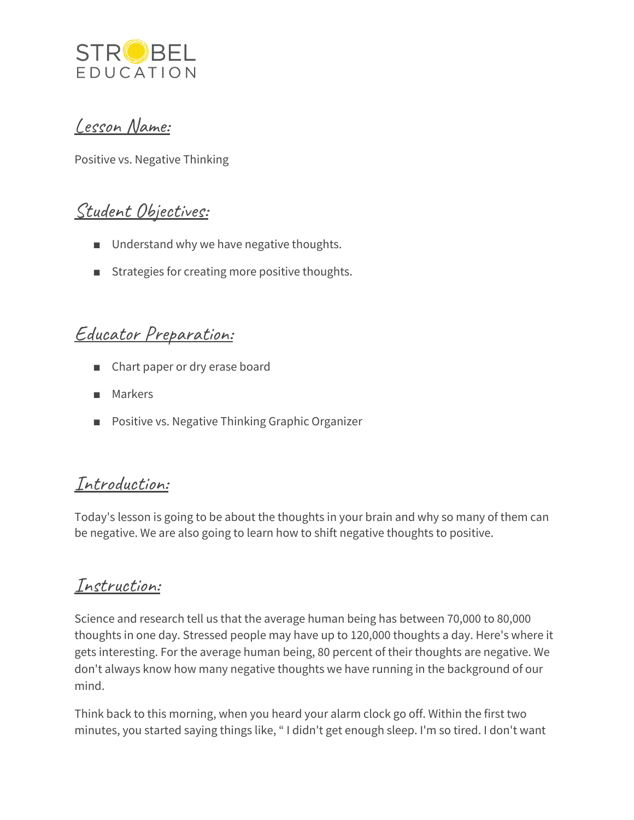

### Lesson Name:

Positive vs. Negative Thinking

# Student Objectives:

- Understand why we have negative thoughts.
- Strategies for creating more positive thoughts.

### Educator Preparation:

- Chart paper or dry erase board
- Markers
- Positive vs. Negative Thinking Graphic Organizer

# Introduction:

Today's lesson is going to be about the thoughts in your brain and why so many of them can be negative. We are also going to learn how to shift negative thoughts to positive.

### Instruction:

Science and research tell us that the average human being has between 70,000 to 80,000 thoughts in one day. Stressed people may have up to 120,000 thoughts a day. Here's where it gets interesting. For the average human being, 80 percent of their thoughts are negative. We don't always know how many negative thoughts we have running in the background of our mind.

Think back to this morning, when you heard your alarm clock go off. Within the first two minutes, you started saying things like, " I didn't get enough sleep. I'm so tired. I don't want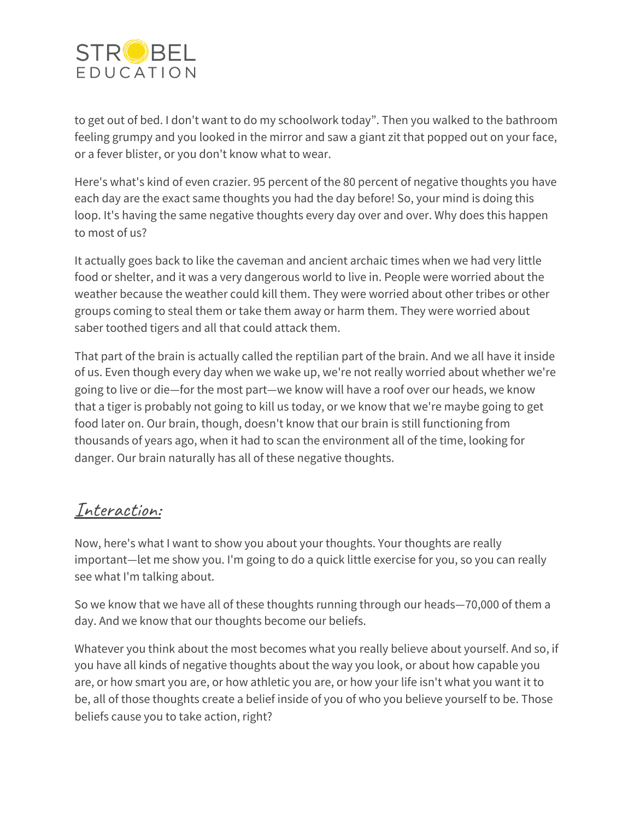

to get out of bed. I don't want to do my schoolwork today". Then you walked to the bathroom feeling grumpy and you looked in the mirror and saw a giant zit that popped out on your face, or a fever blister, or you don't know what to wear.

Here's what's kind of even crazier. 95 percent of the 80 percent of negative thoughts you have each day are the exact same thoughts you had the day before! So, your mind is doing this loop. It's having the same negative thoughts every day over and over. Why does this happen to most of us?

It actually goes back to like the caveman and ancient archaic times when we had very little food or shelter, and it was a very dangerous world to live in. People were worried about the weather because the weather could kill them. They were worried about other tribes or other groups coming to steal them or take them away or harm them. They were worried about saber toothed tigers and all that could attack them.

That part of the brain is actually called the reptilian part of the brain. And we all have it inside of us. Even though every day when we wake up, we're not really worried about whether we're going to live or die—for the most part—we know will have a roof over our heads, we know that a tiger is probably not going to kill us today, or we know that we're maybe going to get food later on. Our brain, though, doesn't know that our brain is still functioning from thousands of years ago, when it had to scan the environment all of the time, looking for danger. Our brain naturally has all of these negative thoughts.

#### Interaction:

Now, here's what I want to show you about your thoughts. Your thoughts are really important—let me show you. I'm going to do a quick little exercise for you, so you can really see what I'm talking about.

So we know that we have all of these thoughts running through our heads—70,000 of them a day. And we know that our thoughts become our beliefs.

Whatever you think about the most becomes what you really believe about yourself. And so, if you have all kinds of negative thoughts about the way you look, or about how capable you are, or how smart you are, or how athletic you are, or how your life isn't what you want it to be, all of those thoughts create a belief inside of you of who you believe yourself to be. Those beliefs cause you to take action, right?